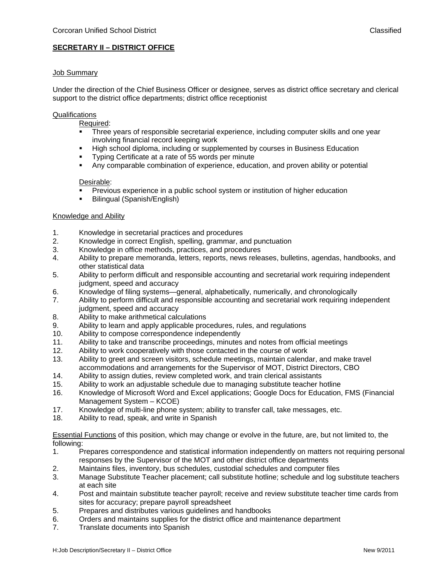# **SECRETARY II – DISTRICT OFFICE**

### Job Summary

Under the direction of the Chief Business Officer or designee, serves as district office secretary and clerical support to the district office departments; district office receptionist

## **Qualifications**

Required:

- Three years of responsible secretarial experience, including computer skills and one year involving financial record keeping work
- High school diploma, including or supplemented by courses in Business Education
- Typing Certificate at a rate of 55 words per minute
- Any comparable combination of experience, education, and proven ability or potential

#### Desirable:

- Previous experience in a public school system or institution of higher education
- **Bilingual (Spanish/English)**

#### Knowledge and Ability

- 1. Knowledge in secretarial practices and procedures
- 2. Knowledge in correct English, spelling, grammar, and punctuation
- 3. Knowledge in office methods, practices, and procedures
- 4. Ability to prepare memoranda, letters, reports, news releases, bulletins, agendas, handbooks, and other statistical data
- 5. Ability to perform difficult and responsible accounting and secretarial work requiring independent judgment, speed and accuracy
- 6. Knowledge of filing systems—general, alphabetically, numerically, and chronologically
- 7. Ability to perform difficult and responsible accounting and secretarial work requiring independent judgment, speed and accuracy
- 8. Ability to make arithmetical calculations
- 9. Ability to learn and apply applicable procedures, rules, and regulations
- 10. Ability to compose correspondence independently
- 11. Ability to take and transcribe proceedings, minutes and notes from official meetings
- 12. Ability to work cooperatively with those contacted in the course of work
- 13. Ability to greet and screen visitors, schedule meetings, maintain calendar, and make travel accommodations and arrangements for the Supervisor of MOT, District Directors, CBO
- 14. Ability to assign duties, review completed work, and train clerical assistants
- 15. Ability to work an adjustable schedule due to managing substitute teacher hotline
- 16. Knowledge of Microsoft Word and Excel applications; Google Docs for Education, FMS (Financial Management System – KCOE)
- 17. Knowledge of multi-line phone system; ability to transfer call, take messages, etc.
- 18. Ability to read, speak, and write in Spanish

Essential Functions of this position, which may change or evolve in the future, are, but not limited to, the following:

- 1. Prepares correspondence and statistical information independently on matters not requiring personal responses by the Supervisor of the MOT and other district office departments
- 2. Maintains files, inventory, bus schedules, custodial schedules and computer files
- 3. Manage Substitute Teacher placement; call substitute hotline; schedule and log substitute teachers at each site
- 4. Post and maintain substitute teacher payroll; receive and review substitute teacher time cards from sites for accuracy; prepare payroll spreadsheet
- 5. Prepares and distributes various guidelines and handbooks
- 6. Orders and maintains supplies for the district office and maintenance department
- 7. Translate documents into Spanish